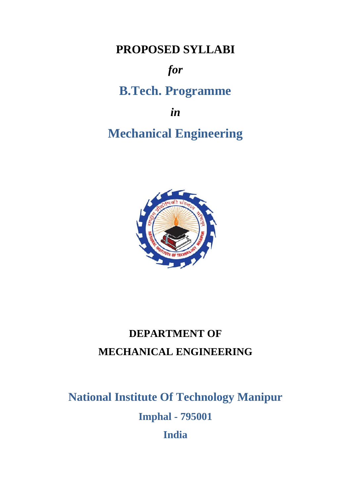**PROPOSED SYLLABI**

# *for*

# **B.Tech. Programme**

*in*

# **Mechanical Engineering**



# **DEPARTMENT OF MECHANICAL ENGINEERING**

**National Institute Of Technology Manipur Imphal - 795001 India**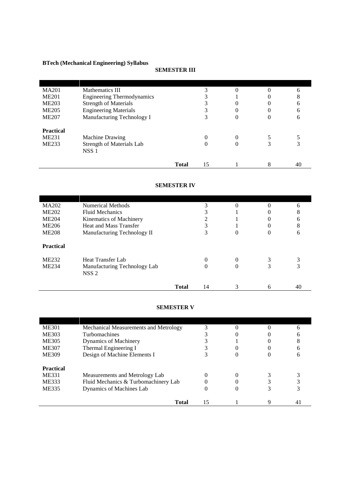# **BTech (Mechanical Engineering) Syllabus**

# **SEMESTER III**

| <b>MA201</b>     | Mathematics III                                      |              |    |                  | 6  |
|------------------|------------------------------------------------------|--------------|----|------------------|----|
| <b>ME201</b>     | <b>Engineering Thermodynamics</b>                    |              | 3  |                  | 8  |
| <b>ME203</b>     | <b>Strength of Materials</b>                         |              | 3  | $\left( \right)$ | 6  |
| <b>ME205</b>     | <b>Engineering Materials</b>                         |              |    | 0                | 6  |
| <b>ME207</b>     | Manufacturing Technology I                           |              | 3  | $\theta$         | 6  |
| <b>Practical</b> |                                                      |              |    |                  |    |
| <b>ME231</b>     | <b>Machine Drawing</b>                               |              | 0  | $\theta$         |    |
| <b>ME233</b>     | <b>Strength of Materials Lab</b><br>NSS <sub>1</sub> |              | 0  | $\theta$         | 3  |
|                  |                                                      | <b>Total</b> | 15 |                  | 40 |

## **SEMESTER IV**

| MA202            | Numerical Methods            |              |    | $\theta$ |          | 6  |
|------------------|------------------------------|--------------|----|----------|----------|----|
| <b>ME202</b>     | <b>Fluid Mechanics</b>       |              | 3  |          |          | 8  |
| <b>ME204</b>     | Kinematics of Machinery      |              | っ  |          |          | 6  |
| <b>ME206</b>     | Heat and Mass Transfer       |              | 3  |          | $\left($ | 8  |
| <b>ME208</b>     | Manufacturing Technology II  |              | 3  | 0        | $\cup$   | 6  |
| <b>Practical</b> |                              |              |    |          |          |    |
| <b>ME232</b>     | Heat Transfer Lab            |              | 0  | 0        |          | 3  |
| <b>ME234</b>     | Manufacturing Technology Lab |              | 0  | $\theta$ |          | 3  |
|                  | NSS <sub>2</sub>             |              |    |          |          |    |
|                  |                              |              |    |          |          |    |
|                  |                              | <b>Total</b> | 14 |          | h        | 40 |

## **SEMESTER V**

| <b>ME301</b>                       | Mechanical Measurements and Metrology                                  |    | 0                 |    |
|------------------------------------|------------------------------------------------------------------------|----|-------------------|----|
| ME303                              | Turbomachines                                                          |    |                   |    |
| <b>ME305</b>                       | Dynamics of Machinery                                                  |    |                   |    |
| <b>ME307</b>                       | Thermal Engineering I                                                  |    | $\mathbf{\Omega}$ |    |
| <b>ME309</b>                       | Design of Machine Elements I                                           |    | 0                 |    |
| <b>Practical</b><br>ME331<br>ME333 | Measurements and Metrology Lab<br>Fluid Mechanics & Turbomachinery Lab |    | $\Omega$          |    |
| <b>ME335</b>                       | Dynamics of Machines Lab                                               | O  | 0                 |    |
|                                    | Total                                                                  | 15 |                   | 41 |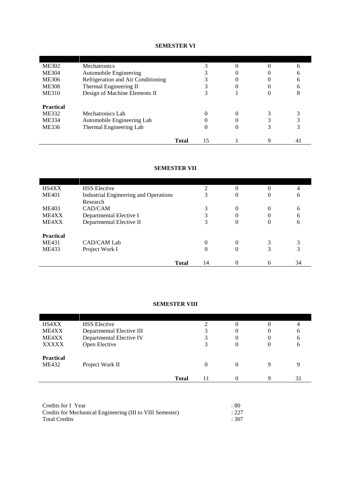# **SEMESTER VI**

|                  | <b>Total</b>                       | 15 |   | 41 |
|------------------|------------------------------------|----|---|----|
| ME336            | Thermal Engineering Lab            | 0  | O |    |
| <b>ME334</b>     | Automobile Engineering Lab         |    |   | 3  |
| <b>ME332</b>     | Mechatronics Lab                   |    |   |    |
| <b>Practical</b> |                                    |    |   |    |
| <b>ME310</b>     | Design of Machine Elements II      |    |   | 8  |
| <b>ME308</b>     | Thermal Engineering II             |    | 0 | h  |
| <b>ME306</b>     | Refrigeration and Air Conditioning |    | 0 | 6  |
| <b>ME304</b>     | Automobile Engineering             |    |   | h  |
| <b>ME302</b>     | <b>Mechatronics</b>                |    |   | h  |

# **SEMESTER VII**

| HS4XX            | <b>HSS</b> Elective                          | っ        | $\Omega$ |          | 4  |
|------------------|----------------------------------------------|----------|----------|----------|----|
| <b>ME401</b>     | <b>Industrial Engineering and Operations</b> | 3        | $\theta$ | 0        | 6  |
|                  | Research                                     |          |          |          |    |
| <b>ME403</b>     | CAD/CAM                                      | 3        | $\Omega$ | 0        | 6  |
| ME4XX            | Departmental Elective I                      | 3        | $\theta$ |          | 6  |
| ME4XX            | Departmental Elective II                     | 3        | $\theta$ | $\Omega$ | 6  |
| <b>Practical</b> |                                              |          |          |          |    |
| <b>ME431</b>     | CAD/CAM Lab                                  | $\Omega$ | $\Omega$ |          | 3  |
| <b>ME433</b>     | Project Work I                               | $\theta$ | $\theta$ | 3        | 3  |
|                  | <b>Total</b>                                 | 14       | $\Omega$ | 6        | 34 |

# **SEMESTER VIII**

| HS4XX            | <b>HSS</b> Elective       |              |    | 0 |   | 4  |
|------------------|---------------------------|--------------|----|---|---|----|
| ME4XX            | Departmental Elective III |              | 3  | 0 | 0 | 6  |
| ME4XX            | Departmental Elective IV  |              | 3  | 0 | 0 | 6  |
| <b>XXXXX</b>     | Open Elective             |              | 3  | 0 | 0 | 6  |
|                  |                           |              |    |   |   |    |
| <b>Practical</b> |                           |              |    |   |   |    |
| ME432            | Project Work II           |              | 0  | 0 | 9 | q  |
|                  |                           |              |    |   |   |    |
|                  |                           | <b>Total</b> | 11 | 0 | Q | 31 |
|                  |                           |              |    |   |   |    |

| Credits for I Year                                        | :80   |
|-----------------------------------------------------------|-------|
| Credits for Mechanical Engineering (III to VIII Semester) | : 227 |
| <b>Total Credits</b>                                      | :307  |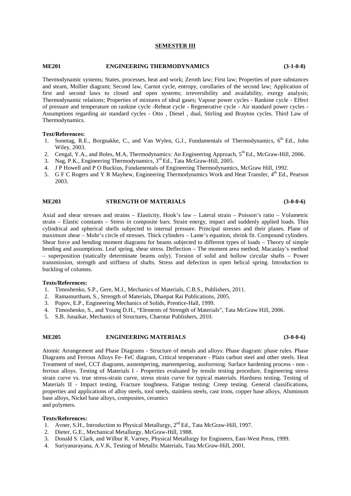#### **SEMESTER III**

#### **ME201 ENGINEERING THERMODYNAMICS (3-1-0-8)**

Thermodynamic systems; States, processes, heat and work; Zeroth law; First law; Properties of pure substances and steam, Mollier diagram; Second law, Carnot cycle, entropy, corollaries of the second law; Application of first and second laws to closed and open systems; irreversibility and availability, exergy analysis; Thermodynamic relations; Properties of mixtures of ideal gases; Vapour power cycles - Rankine cycle - Effect of pressure and temperature on rankine cycle -Reheat cycle - Regenerative cycle - Air standard power cycles - Assumptions regarding air standard cycles - Otto , Diesel , dual, Stirling and Brayton cycles. Third Law of Thermodynamics.

#### **Text/References:**

- 1. Sonntag, R.E., Borgnakke, C., and Van Wylen, G.J., Fundamentals of Thermodynamics, 6<sup>th</sup> Ed., John Wiley, 2003.
- 2. Cengal, Y.A., and Boles, M.A. Thermodynamics: An Engineering Approach, 5<sup>th</sup> Ed., McGraw-Hill, 2006.
- 3. Nag, P.K., Engineering Thermodynamics, 3rd Ed., Tata McGraw-Hill, 2005.
- 4. J P Howell and P O Buckius, Fundamentals of Engineering Thermodynamics, McGraw Hill, 1992.
- 5. G F C Rogers and Y R Mayhew, Engineering Thermodynamics Work and Heat Transfer,  $4^{\text{th}}$  Ed., Pearson 2003.

#### **ME203 STRENGTH OF MATERIALS (3-0-0-6)**

Axial and shear stresses and strains – Elasticity, Hook's law – Lateral strain – Poisson's ratio – Volumetric strain – Elastic constants – Stress in composite bars. Strain energy, impact and suddenly applied loads. Thin cylindrical and spherical shells subjected to internal pressure. Principal stresses and their planes. Plane of maximum shear – Mohr's circle of stresses. Thick cylinders – Lame's equation, shrink fit. Compound cylinders. Shear force and bending moment diagrams for beams subjected to different types of loads – Theory of simple bending and assumptions. Leaf spring, shear stress. Deflection – The moment area method, Macaulay's method – superposition (statically determinate beams only). Torsion of solid and hollow circular shafts – Power transmission, strength and stiffness of shafts. Stress and defection in open helical spring. Introduction to buckling of columns.

#### **Texts/References:**

- 1. Timoshenko, S.P., Gere, M.J., Mechanics of Materials, C.B.S., Publishers, 2011.
- 2. Ramamurtham, S., Strength of Materials, Dhanpat Rai Publications, 2005.
- 3. Popov, E.P., Engineering Mechanics of Solids, Prentice-Hall, 1999.
- 4. Timoshenko, S., and Young D.H., "Elements of Strength of Materials", Tata McGraw Hill, 2006.
- 5. S.B. Junaikar, Mechanics of Structures, Charotar Publishers, 2010.

#### **ME205 ENGINEERING MATERIALS (3-0-0-6)**

Atomic Arrangement and Phase Diagrams - Structure of metals and alloys: Phase diagram: phase rules. Phase Diagrams and Ferrous Alloys Fe- FeC diagram, Critical temperature - Plain carbon steel and other steels. Heat Treatment of steel, CCT diagrams, austempering, martempering, ausforrning. Surface hardening process - non ferrous alloys. Testing of Materials I - Properties evaluated by tensile testing procedure, Engineering stress strain curve vs. true stress-strain curve, stress strain curve for typical materials. Hardness testing. Testing of Materials II - Impact testing, Fracture toughness. Fatigue testing: Creep testing. General classifications, properties and applications of alloy steels, tool steels, stainless steels, cast irons, copper base alloys, Aluminum base alloys, Nickel base alloys, composites, ceramics and polymers.

- 1. Avner, S.H., Introduction to Physical Metallurgy, 2<sup>nd</sup> Ed., Tata McGraw-Hill, 1997.
- 2. Dieter, G.E., Mechanical Metallurgy, McGraw-Hill, 1988.
- 3. Donald S. Clark, and Wilbur R. Varney, Physical Metallurgy for Engineers, East-West Press, 1999.
- 4. Suriyanarayana, A.V.K, Testing of Metallic Materials, Tata McGraw-Hill, 2001.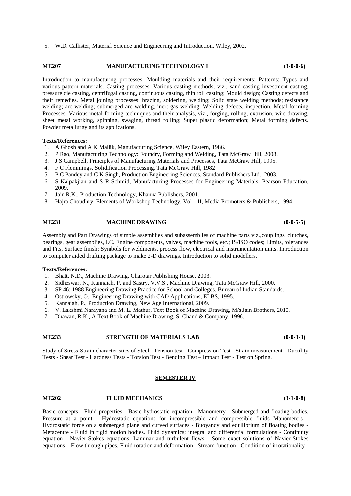5. W.D. Callister, Material Science and Engineering and Introduction, Wiley, 2002.

### **ME207 MANUFACTURING TECHNOLOGY I (3-0-0-6)**

Introduction to manufacturing processes: Moulding materials and their requirements; Patterns: Types and various pattern materials. Casting processes: Various casting methods, viz., sand casting investment casting, pressure die casting, centrifugal casting, continuous casting, thin roll casting; Mould design; Casting defects and their remedies. Metal joining processes: brazing, soldering, welding; Solid state welding methods; resistance welding; arc welding; submerged arc welding; inert gas welding; Welding defects, inspection. Metal forming Processes: Various metal forming techniques and their analysis, viz., forging, rolling, extrusion, wire drawing, sheet metal working, spinning, swaging, thread rolling; Super plastic deformation; Metal forming defects. Powder metallurgy and its applications.

### **Texts/References:**

- 1. A Ghosh and A K Mallik, Manufacturing Science, Wiley Eastern, 1986.
- 2. P Rao, Manufacturing Technology: Foundry, Forming and Welding, Tata McGraw Hill, 2008.
- 3. J S Campbell, Principles of Manufacturing Materials and Processes, Tata McGraw Hill, 1995.
- 4. F C Flemmings, Solidification Processing, Tata McGraw Hill, 1982
- 5. P C Pandey and C K Singh, Production Engineering Sciences, Standard Publishers Ltd., 2003.
- 6. S Kalpakjian and S R Schmid, Manufacturing Processes for Engineering Materials, Pearson Education, 2009.
- 7. Jain R.K., Production Technology, Khanna Publishers, 2001.
- 8. Hajra Choudhry, Elements of Workshop Technology, Vol II, Media Promoters & Publishers, 1994.

#### **ME231 MACHINE DRAWING (0-0-5-5)**

Assembly and Part Drawings of simple assemblies and subassemblies of machine parts viz.,couplings, clutches, bearings, gear assemblies, I.C. Engine components, valves, machine tools, etc.; IS/ISO codes; Limits, tolerances and Fits, Surface finish; Symbols for weldments, process flow, electrical and instrumentation units. Introduction to computer aided drafting package to make 2-D drawings. Introduction to solid modellers.

#### **Texts/References:**

- 1. Bhatt, N.D., Machine Drawing, Charotar Publishing House, 2003.
- 2. Sidheswar, N., Kannaiah, P. and Sastry, V.V.S., Machine Drawing, Tata McGraw Hill, 2000.
- 3. SP 46: 1988 Engineering Drawing Practice for School and Colleges. Bureau of Indian Standards.
- 4. Ostrowsky, O., Engineering Drawing with CAD Applications, ELBS, 1995.
- 5. Kannaiah, P., Production Drawing, New Age International, 2009.
- 6. V. Lakshmi Narayana and M. L. Mathur, Text Book of Machine Drawing, M/s Jain Brothers, 2010.
- 7. Dhawan, R.K., A Text Book of Machine Drawing, S. Chand & Company, 1996.

#### **ME233 STRENGTH OF MATERIALS LAB (0-0-3-3)**

Study of Stress-Strain characteristics of Steel - Tension test - Compression Test - Strain measurement - Ductility Tests - Shear Test - Hardness Tests - Torsion Test - Bending Test – Impact Test - Test on Spring.

#### **SEMESTER IV**

**ME202 FLUID MECHANICS (3-1-0-8)**

Basic concepts - Fluid properties - Basic hydrostatic equation - Manometry - Submerged and floating bodies. Pressure at a point - Hydrostatic equations for incompressible and compressible fluids Manometers - Hydrostatic force on a submerged plane and curved surfaces - Buoyancy and equilibrium of floating bodies - Metacentre - Fluid in rigid motion bodies. Fluid dynamics; integral and differential formulations - Continuity equation - Navier-Stokes equations. Laminar and turbulent flows - Some exact solutions of Navier-Stokes equations – Flow through pipes. Fluid rotation and deformation - Stream function - Condition of irrotationality -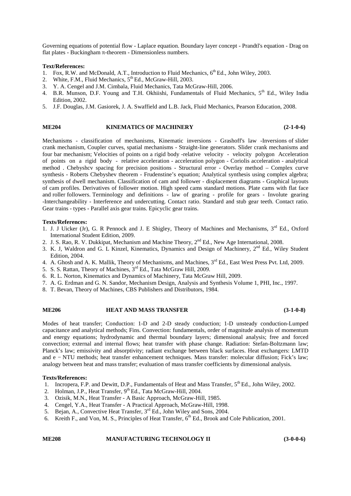Governing equations of potential flow - Laplace equation. Boundary layer concept - Prandtl's equation - Drag on flat plates - Buckingham - theorem - Dimensionless numbers.

#### **Text/References:**

- 1. Fox, R.W. and McDonald, A.T., Introduction to Fluid Mechanics, 6<sup>th</sup> Ed., John Wiley, 2003.
- 2. White, F.M., Fluid Mechanics,  $5<sup>th</sup>$  Ed., McGraw-Hill, 2003.
- 3. Y. A. Cengel and J.M. Cimbala, Fluid Mechanics, Tata McGraw-Hill, 2006.
- 4. B.R. Munson, D.F. Young and T.H. Okhiishi, Fundamentals of Fluid Mechanics, 5<sup>th</sup> Ed., Wiley India Edition, 2002.
- 5. J.F. Douglas, J.M. Gasiorek, J. A. Swaffield and L.B. Jack, Fluid Mechanics, Pearson Education, 2008.

### **ME204 KINEMATICS OF MACHINERY (2-1-0-6)**

Mechanisms - classification of mechanisms, Kinematic inversions - Grashoff's law -Inversions of slider crank mechanism, Coupler curves, spatial mechanisms - Straight-line generators. Slider crank mechanisms and four bar mechanism; Velocities of points on a rigid body -relative velocity - velocity polygon Acceleration of points on a rigid body - relative acceleration - acceleration polygon - Coriolis acceleration - analytical method . Chebyshcv spacing for precision positions - Structural error - Overlay method – Complex curve synthesis - Roberts Chebyshev theorem - Frudenstine's equation; Analytical synthesis using complex algebra; synthesis of dwell mechanism. Classification of cam and follower - displacement diagrams - Graphical layouts of cam profiles. Derivatives of follower motion. High speed cams standard motions. Plate cams with flat face and roller followers. Terminology and definitions - law of gearing - profile for gears - Involute gearing -Interchangeability - Interference and undercutting. Contact ratio. Standard and stub gear teeth. Contact ratio. Gear trains - types - Parallel axis gear trains. Epicyclic gear trains.

### **Texts/References:**

- 1. J. J Uicker (Jr), G. R Pennock and J. E Shigley, Theory of Machines and Mechanisms, 3<sup>rd</sup> Ed., Oxford International Student Edition, 2009.
- 2. J. S. Rao, R. V. Dukkipat, Mechanism and Machine Theory, 2<sup>nd</sup> Ed., New Age International, 2008.
- 3. K. J, Waldron and G. L Kinzel, Kinematics, Dynamics and Design of Machinery, 2<sup>nd</sup> Ed., Wiley Student Edition, 2004.
- 4. A. Ghosh and A. K. Mallik, Theory of Mechanisms, and Machines, 3<sup>rd</sup> Ed., East West Press Pvt. Ltd, 2009.
- 5. S. S. Rattan, Theory of Machines, 3rd Ed., Tata McGraw Hill, 2009.
- 6. R. L. Norton, Kinematics and Dynamics of Machinery, Tata McGraw Hill, 2009.
- 7. A. G. Erdman and G. N. Sandor, Mechanism Design, Analysis and Synthesis Volume 1, PHI, Inc., 1997.
- 8. T. Bevan, Theory of Machines, CBS Publishers and Distributors, 1984.

#### **ME206 HEAT AND MASS TRANSFER (3-1-0-8)**

Modes of heat transfer; Conduction: 1-D and 2-D steady conduction; 1-D unsteady conduction-Lumped capacitance and analytical methods; Fins. Convection: fundamentals, order of magnitude analysis of momentum and energy equations; hydrodynamic and thermal boundary layers; dimensional analysis; free and forced convection; external and internal flows; heat transfer with phase change. Radiation: Stefan-Boltzmann law; Planck's law; emissivity and absorptivity; radiant exchange between black surfaces. Heat exchangers: LMTD and e − NTU methods; heat transfer enhancement techniques. Mass transfer: molecular diffusion; Fick's law; analogy between heat and mass transfer; evaluation of mass transfer coefficients by dimensional analysis.

### **Texts/References:**

- 1. Incropera, F.P. and Dewitt, D.P., Fundamentals of Heat and Mass Transfer,  $5^{th}$  Ed., John Wiley, 2002.
- 2. Holman, J.P., Heat Transfer, 9<sup>th</sup> Ed., Tata McGraw-Hill, 2004.
- 3. Ozisik, M.N., Heat Transfer A Basic Approach, McGraw-Hill, 1985.
- 4. Cengel, Y.A., Heat Transfer A Practical Approach, McGraw-Hill, 1998.
- 5. Bejan, A., Convective Heat Transfer, 3<sup>rd</sup> Ed., John Wiley and Sons, 2004.
- 6. Kreith F., and Von, M. S., Principles of Heat Transfer,  $6^{th}$  Ed., Brook and Cole Publication, 2001.

**ME208 MANUFACTURING TECHNOLOGY II (3-0-0-6)**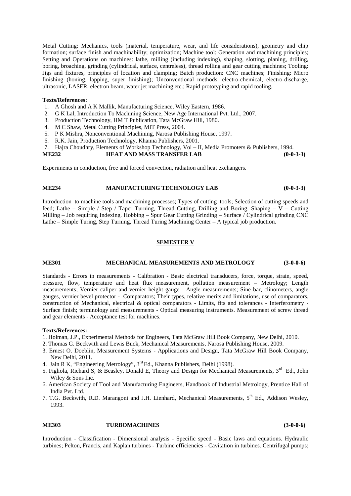Metal Cutting: Mechanics, tools (material, temperature, wear, and life considerations), geometry and chip formation; surface finish and machinability; optimization; Machine tool: Generation and machining principles; Setting and Operations on machines: lathe, milling (including indexing), shaping, slotting, planing, drilling, boring, broaching, grinding (cylindrical, surface, centreless), thread rolling and gear cutting machines; Tooling: Jigs and fixtures, principles of location and clamping; Batch production: CNC machines; Finishing: Micro finishing (honing, lapping, super finishing); Unconventional methods: electro-chemical, electro-discharge, ultrasonic, LASER, electron beam, water jet machining etc.; Rapid prototyping and rapid tooling.

### **Texts/References:**

- 1. A Ghosh and A K Mallik, Manufacturing Science, Wiley Eastern, 1986.
- 2. G K Lal, Introduction To Machining Science, New Age International Pvt. Ltd., 2007.
- 3. Production Technology, HM T Publication, Tata McGraw Hill, 1980.
- 4. M C Shaw, Metal Cutting Principles, MIT Press, 2004.
- 5. P K Mishra, Nonconventional Machining, Narosa Publishing House, 1997.
- 6. R.K. Jain, Production Technology, Khanna Publishers, 2001.
- 7. Hajra Choudhry, Elements of Workshop Technology, Vol II, Media Promoters & Publishers, 1994.

**ME232 HEAT AND MASS TRANSFER LAB (0-0-3-3)**

Experiments in conduction, free and forced convection, radiation and heat exchangers.

### **ME234 MANUFACTURING TECHNOLOGY LAB (0-0-3-3)**

Introduction to machine tools and machining processes; Types of cutting tools; Selection of cutting speeds and feed; Lathe – Simple / Step / Taper Turning, Thread Cutting, Drilling and Boring. Shaping – V – Cutting Milling – Job requiring Indexing. Hobbing – Spur Gear Cutting Grinding – Surface / Cylindrical grinding CNC Lathe – Simple Turing, Step Turning, Thread Turing Machining Center – A typical job production.

#### **SEMESTER V**

#### **ME301 MECHANICAL MEASUREMENTS AND METROLOGY (3-0-0-6)**

Standards - Errors in measurements - Calibration - Basic electrical transducers, force, torque, strain, speed, pressure, flow, temperature and heat flux measurement, pollution measurement – Metrology; Length measurements; Vernier caliper and vernier height gauge - Angle measurements; Sine bar, clinometers, angle gauges, vernier bevel protector - Comparators; Their types, relative merits and limitations, use of comparators, construction of Mechanical, electrical & optical comparators - Limits, fits and tolerances - Interferometry - Surface finish; terminology and measurements - Optical measuring instruments. Measurement of screw thread and gear elements - Acceptance test for machines.

#### **Texts/References:**

- 1. Holman, J.P., Experimental Methods for Engineers, Tata McGraw Hill Book Company, New Delhi, 2010.
- 2. Thomas G. Beckwith and Lewis Buck, Mechanical Measurements, Narosa Publishing House, 2009.
- 3. Ernest O. Doeblin, Measurement Systems Applications and Design, Tata McGraw Hill Book Company, New Delhi, 2011.
- 4. Jain R K, "Engineering Metrology", 3rd Ed., Khanna Publishers, Delhi (1998).
- 5. Figliola, Richard S, & Beasley, Donald E, Theory and Design for Mechanical Measurements,  $3<sup>rd</sup>$  Ed., John Wiley & Sons Inc.
- 6. American Society of Tool and Manufacturing Engineers, Handbook of Industrial Metrology, Prentice Hall of India Pvt. Ltd.
- 7. T.G. Beckwith, R.D. Marangoni and J.H. Lienhard, Mechanical Measurements, 5<sup>th</sup> Ed., Addison Wesley, 1993.

#### **ME303 TURBOMACHINES (3-0-0-6)**

Introduction - Classification - Dimensional analysis - Specific speed - Basic laws and equations. Hydraulic turbines; Pelton, Francis, and Kaplan turbines - Turbine efficiencies - Cavitation in turbines. Centrifugal pumps;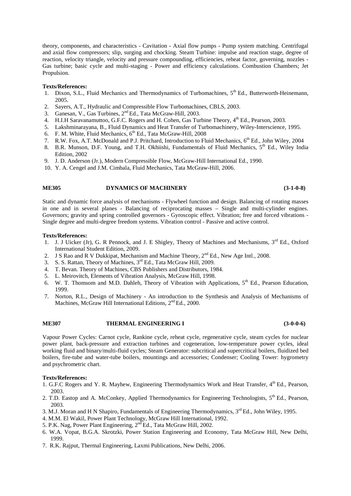theory, components, and characteristics - Cavitation - Axial flow pumps - Pump system matching. Centrifugal and axial flow compressors; slip, surging and chocking. Steam Turbine: impulse and reaction stage, degree of reaction, velocity triangle, velocity and pressure compounding, efficiencies, reheat factor, governing, nozzles - Gas turbine; basic cycle and multi-staging - Power and efficiency calculations. Combustion Chambers; Jet Propulsion.

#### **Texts/References:**

- 1. Dixon, S.L., Fluid Mechanics and Thermodynamics of Turbomachines, 5<sup>th</sup> Ed., Butterworth-Heinemann, 2005.
- 2. Sayers, A.T., Hydraulic and Compressible Flow Turbomachines, CBLS, 2003.
- 3. Ganesan, V., Gas Turbines, 2nd Ed., Tata McGraw-Hill, 2003.
- 4. H.I.H Saravanamuttoo, G.F.C. Rogers and H. Cohen, Gas Turbine Theory, 4<sup>th</sup> Ed., Pearson, 2003.
- 5. Lakshminarayana, B., Fluid Dynamics and Heat Transfer of Turbomachinery, Wiley-Interscience, 1995.
- 6. F. M. White, Fluid Mechanics,  $6<sup>th</sup>$  Ed., Tata McGraw-Hill, 2008
- 7. R.W. Fox, A.T. McDonald and P.J. Pritchard, Introduction to Fluid Mechanics, 6<sup>th</sup> Ed., John Wiley, 2004
- 8. B.R. Munson, D.F. Young, and T.H. Okhiishi, Fundamentals of Fluid Mechanics,  $5<sup>th</sup>$  Ed., Wiley India Edition, 2002
- 9. J. D. Anderson (Jr.), Modern Compressible Flow, McGraw-Hill International Ed., 1990.
- 10. Y. A. Cengel and J.M. Cimbala, Fluid Mechanics, Tata McGraw-Hill, 2006.

#### **ME305 DYNAMICS OF MACHINERY (3-1-0-8)**

Static and dynamic force analysis of mechanisms - Flywheel function and design. Balancing of rotating masses in one and in several planes - Balancing of reciprocating masses – Single and multi-cylinder engines. Governors; gravity and spring controlled governors - Gyroscopic effect. Vibration; free and forced vibrations - Single degree and multi-degree freedom systems. Vibration control - Passive and active control.

#### **Texts/References:**

- 1. J. J Uicker (Jr), G. R Pennock, and J. E Shigley, Theory of Machines and Mechanisms, 3<sup>rd</sup> Ed., Oxford International Student Edition, 2009.
- 2. J S Rao and R V Dukkipat, Mechanism and Machine Theory, 2<sup>nd</sup> Ed., New Age Intl., 2008.
- 3. S. S. Rattan, Theory of Machines, 3<sup>rd</sup> Ed., Tata McGraw Hill, 2009.
- 4. T. Bevan. Theory of Machines, CBS Publishers and Distributors, 1984.
- 5. L. Meirovitch, Elements of Vibration Analysis, McGraw Hill, 1998.
- 6. W. T. Thomsom and M.D. Dahleh, Theory of Vibration with Applications,  $5<sup>th</sup>$  Ed., Pearson Education, 1999.
- 7. Norton, R.L., Design of Machinery An introduction to the Synthesis and Analysis of Mechanisms of Machines, McGraw Hill International Editions,  $2<sup>nd</sup>$  Ed., 2000.

#### **ME307 THERMAL ENGINEERING I (3-0-0-6)**

Vapour Power Cycles: Carnot cycle, Rankine cycle, reheat cycle, regenerative cycle, steam cycles for nuclear power plant, back-pressure and extraction turbines and cogeneration, low-temperature power cycles, ideal working fluid and binary/multi-fluid cycles; Steam Generator: subcritical and supercritical boilers, fluidized bed boilers, fire-tube and water-tube boilers, mountings and accessories; Condenser; Cooling Tower: hygrometry and psychrometric chart.

- 1. G.F.C Rogers and Y. R. Mayhew, Engineering Thermodynamics Work and Heat Transfer, 4<sup>th</sup> Ed., Pearson, 2003.
- 2. T.D. Eastop and A. McConkey, Applied Thermodynamics for Engineering Technologists, 5<sup>th</sup> Ed., Pearson, 2003.
- 3. M.J. Moran and H N Shapiro, Fundamentals of Engineering Thermodynamics, 3<sup>rd</sup> Ed., John Wiley, 1995.
- 4. M.M. El Wakil, Power Plant Technology, McGraw Hill International, 1992.
- 5. P.K. Nag, Power Plant Engineering, 2<sup>nd</sup> Ed., Tata McGraw Hill, 2002.
- 6. W.A. Vopat, B.G.A. Skrotzki, Power Station Engineering and Economy, Tata McGraw Hill, New Delhi, 1999.
- 7. R.K. Rajput, Thermal Engineering, Laxmi Publications, New Delhi, 2006.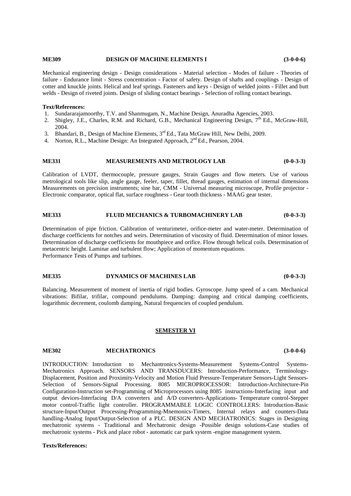#### **ME309 DESIGN OF MACHINE ELEMENTS I (3-0-0-6)**

Mechanical engineering design - Design considerations - Material selection - Modes of failure - Theories of failure - Endurance limit - Stress concentration - Factor of safety. Design of shafts and couplings - Design of cotter and knuckle joints. Helical and leaf springs. Fasteners and keys - Design of welded joints - Fillet and butt welds - Design of riveted joints. Design of sliding contact bearings - Selection of rolling contact bearings.

#### **Text/References:**

- 1. Sundararajamoorthy, T.V. and Shanmugam, N., Machine Design, Anuradha Agencies, 2003.
- 2. Shigley, J.E., Charles, R.M. and Richard, G.B., Mechanical Engineering Design,  $7<sup>th</sup>$  Ed., McGraw-Hill, 2004.
- 3. Bhandari, B., Design of Machine Elements, 3rd Ed., Tata McGraw Hill, New Delhi, 2009.
- 4. Norton, R.L., Machine Design: An Integrated Approach, 2<sup>nd</sup> Ed., Pearson, 2004.

## **ME331 MEASUREMENTS AND METROLOGY LAB (0-0-3-3)**

Calibration of LVDT, thermocouple, pressure gauges, Strain Gauges and flow meters. Use of various metrological tools like slip, angle gauge, feeler, taper, fillet, thread gauges, estimation of internal dimensions Measurements on precision instruments; sine bar, CMM - Universal measuring microscope, Profile projector - Electronic comparator, optical flat, surface roughness - Gear tooth thickness - MAAG gear tester.

#### **ME333 FLUID MECHANICS & TURBOMACHINERY LAB (0-0-3-3)**

Determination of pipe friction. Calibration of venturimeter, orifice-meter and water-meter. Determination of discharge coefficients for notches and weirs. Determination of viscosity of fluid. Determination of minor losses. Determination of discharge coefficients for mouthpiece and orifice. Flow through helical coils. Determination of metacentric height. Laminar and turbulent flow; Application of momentum equations. Performance Tests of Pumps and turbines.

## **ME335 DYNAMICS OF MACHINES LAB (0-0-3-3)**

Balancing. Measurement of moment of inertia of rigid bodies. Gyroscope. Jump speed of a cam. Mechanical vibrations: Bifilar, trifilar, compound pendulums. Damping: damping and critical damping coefficients, logarithmic decrement, coulomb damping, Natural frequencies of coupled pendulum.

#### **SEMESTER VI**

**ME302 MECHATRONICS (3-0-0-6)**

INTRODUCTION: Introduction to Mechantronics-Systems-Measurement Systems-Control Systems- Mechatronics Approach. SENSORS AND TRANSDUCERS: Introduction-Performance, Terminology- Displacement, Position and Proximity-Velocity and Motion Fluid Pressure-Temperature Sensors-Light Sensors- Selection of Sensors-Signal Processing. 8085 MICROPROCESSOR: Introduction-Architecture-Pin Configuration-Instruction set-Programming of Microprocessors using 8085 instructions-Interfacing input and output devices-Interfacing D/A converters and A/D converters-Applications- Temperature control-Stepper motor control-Traffic light controller. PROGRAMMABLE LOGIC CONTROLLERS: Introduction-Basic structure-Input/Output Processing-Programming-Mnemonics-Timers, Internal relays and counters-Data handling-Analog Input/Output-Selection of a PLC. DESIGN AND MECHATRONICS: Stages in Designing mechatronic systems - Traditional and Mechatronic design -Possible design solutions-Case studies of mechatronic systems - Pick and place robot - automatic car park system -engine management system.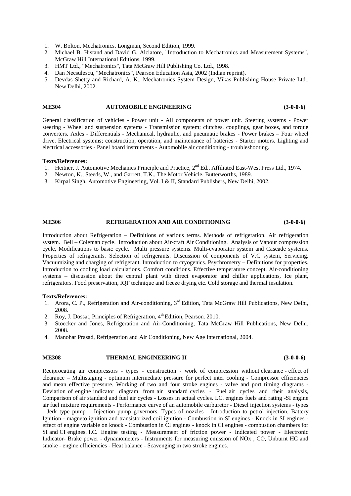- 1. W. Bolton, Mechatronics, Longman, Second Edition, 1999.
- 2. Michael B. Histand and David G. Alciatore, "Introduction to Mechatronics and Measurement Systems", McGraw Hill International Editions, 1999.
- 3. HMT Ltd., "Mechatronics", Tata McGraw Hill Publishing Co. Ltd., 1998.
- 4. Dan Necsulescu, "Mechatronics", Pearson Education Asia, 2002 (Indian reprint).
- 5. Devdas Shetty and Richard, A. K., Mechatronics System Design, Vikas Publishing House Private Ltd., New Delhi, 2002.

#### **ME304 AUTOMOBILE ENGINEERING (3-0-0-6)**

General classification of vehicles - Power unit - All components of power unit. Steering systems - Power steering - Wheel and suspension systems - Transmission system; clutches, couplings, gear boxes, and torque converters. Axles - Differentials - Mechanical, hydraulic, and pneumatic brakes - Power brakes – Four wheel drive. Electrical systems; construction, operation, and maintenance of batteries - Starter motors. Lighting and electrical accessories - Panel board instruments - Automobile air conditioning - troubleshooting.

#### **Texts/References:**

- 1. Heitner, J. Automotive Mechanics Principle and Practice, 2<sup>nd</sup> Ed., Affiliated East-West Press Ltd., 1974.
- 2. Newton, K., Steeds, W., and Garrett, T.K., The Motor Vehicle, Butterworths, 1989.
- 3. Kirpal Singh, Automotive Engineering, Vol. I & II, Standard Publishers, New Delhi, 2002.

#### **ME306 REFRIGERATION AND AIR CONDITIONING (3-0-0-6)**

Introduction about Refrigeration – Definitions of various terms. Methods of refrigeration. Air refrigeration system. Bell – Coleman cycle. Introduction about Air-craft Air Conditioning. Analysis of Vapour compression cycle, Modifications to basic cycle. Multi pressure systems. Multi-evaporator system and Cascade systems. Properties of refrigerants. Selection of refrigerants. Discussion of components of V.C system, Servicing. Vacuumizing and charging of refrigerant. Introduction to cryogenics. Psychrometry – Definitions for properties. Introduction to cooling load calculations. Comfort conditions. Effective temperature concept. Air-conditioning systems – discussion about the central plant with direct evaporator and chiller applications, Ice plant, refrigerators. Food preservation, IQF technique and freeze drying etc. Cold storage and thermal insulation.

#### **Texts/References:**

- 1. Arora, C. P., Refrigeration and Air-conditioning, 3<sup>rd</sup> Edition, Tata McGraw Hill Publications, New Delhi, 2008.
- 2. Roy, J. Dossat, Principles of Refrigeration, 4<sup>th</sup> Edition, Pearson. 2010.
- 3. Stoecker and Jones, Refrigeration and Air-Conditioning, Tata McGraw Hill Publications, New Delhi, 2008.
- 4. Manohar Prasad, Refrigeration and Air Conditioning, New Age International, 2004.

#### **ME308 THERMAL ENGINEERING II (3-0-0-6)**

Reciprocating air compressors - types - construction - work of compression without clearance - effect of clearance – Multistaging - optimum intermediate pressure for perfect inter cooling - Compressor efficiencies and mean effective pressure. Working of two and four stroke engines - valve and port timing diagrams - Deviation of engine indicator diagram from air standard cycles - Fuel air cycles and their analysis, Comparison of air standard and fuel air cycles - Losses in actual cycles. I.C. engines fuels and rating -SI engine air fuel mixture requirements - Performance curve of an automobile carburetor - Diesel injection systems - types - Jerk type pump – Injection pump governors. Types of nozzles - Introduction to petrol injection. Battery Ignition - magneto ignition and transistorized coil ignition - Combustion in SI engines - Knock in SI engines effect of engine variable on knock - Combustion in CI engines - knock in CI engines - combustion chambers for SI and CI engines. I.C. Engine testing - Measurement of friction power - Indicated power - Electronic Indicator- Brake power - dynamometers - Instruments for measuring emission of NOx , CO, Unburnt HC and smoke - engine efficiencies - Heat balance - Scavenging in two stroke engines.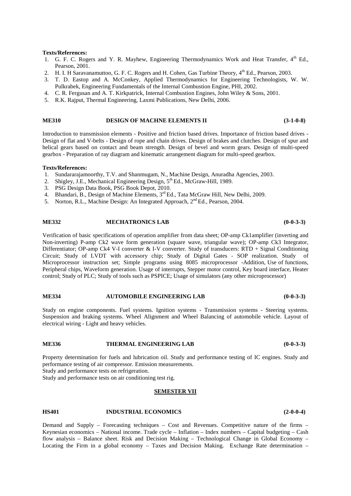#### **Texts/References:**

- 1. G. F. C. Rogers and Y. R. Mayhew, Engineering Thermodynamics Work and Heat Transfer,  $4^{th}$  Ed., Pearson, 2001.
- 2. H. I. H Saravanamuttoo, G. F. C. Rogers and H. Cohen, Gas Turbine Theory, 4<sup>th</sup> Ed., Pearson, 2003.
- 3. T. D. Eastop and A. McConkey, Applied Thermodynamics for Engineering Technologists, W. W. Pulkrabek, Engineering Fundamentals of the Internal Combustion Engine, PHI, 2002.
- 4. C. R. Fergusan and A. T. Kirkpatrick, Internal Combustion Engines, John Wiley & Sons, 2001.
- 5. R.K. Rajput, Thermal Engineering, Laxmi Publications, New Delhi, 2006.

### **ME310 DESIGN OF MACHNE ELEMENTS II (3-1-0-8)**

Introduction to transmission elements - Positive and friction based drives. Importance of friction based drives - Design of flat and V-belts - Design of rope and chain drives. Design of brakes and clutches. Design of spur and helical gears based on contact and beam strength. Design of bevel and worm gears. Design of multi-speed gearbox - Preparation of ray diagram and kinematic arrangement diagram for multi-speed gearbox.

#### **Texts/References:**

- 1. Sundararajamoorthy, T.V. and Shanmugam, N., Machine Design, Anuradha Agencies, 2003.
- 2. Shigley, J.E., Mechanical Engineering Design, 5<sup>th</sup> Ed., McGraw-Hill, 1989.
- 3. PSG Design Data Book, PSG Book Depot, 2010.
- 4. Bhandari, B., Design of Machine Elements, 3<sup>rd</sup> Ed., Tata McGraw Hill, New Delhi, 2009.
- 5. Norton, R.L., Machine Design: An Integrated Approach, 2<sup>nd</sup> Ed., Pearson, 2004.

#### **ME332 MECHATRONICS LAB (0-0-3-3)**

Verification of basic specifications of operation amplifier from data sheet; OP-amp Ck1amplifier (inverting and Non-inverting) P-amp Ck2 wave form generation (square wave, triangular wave); OP-amp Ck3 Integrator, Differentiator; OP-amp Ck4 V-I converter & I-V converter. Study of transducers: RTD + Signal Conditioning Circuit; Study of LVDT with accessory chip; Study of Digital Gates - SOP realization. Study of Microprocessor instruction set; Simple programs using 8085 microprocessor -Addition, Use of functions, Peripheral chips, Waveform generation. Usage of interrupts, Stepper motor control, Key board interface, Heater control; Study of PLC; Study of tools such as PSPICE; Usage of simulators (any other microprocessor)

#### **ME334 AUTOMOBILE ENGINEERING LAB (0-0-3-3)**

Study on engine components. Fuel systems. Ignition systems - Transmission systems - Steering systems. Suspension and braking systems. Wheel Alignment and Wheel Balancing of automobile vehicle. Layout of electrical wiring - Light and heavy vehicles.

#### **ME336 THERMAL ENGINEERING LAB (0-0-3-3)**

Property determination for fuels and lubrication oil. Study and performance testing of IC engines. Study and performance testing of air compressor. Emission measurements.

Study and performance tests on refrigeration.

Study and performance tests on air conditioning test rig.

#### **SEMESTER VII**

#### **HS401 INDUSTRIAL ECONOMICS (2-0-0-4)**

Demand and Supply – Forecasting techniques – Cost and Revenues. Competitive nature of the firms – Keynesian economics – National income. Trade cycle – Inflation – Index numbers – Capital budgeting – Cash flow analysis – Balance sheet. Risk and Decision Making – Technological Change in Global Economy – Locating the Firm in a global economy – Taxes and Decision Making. Exchange Rate determination –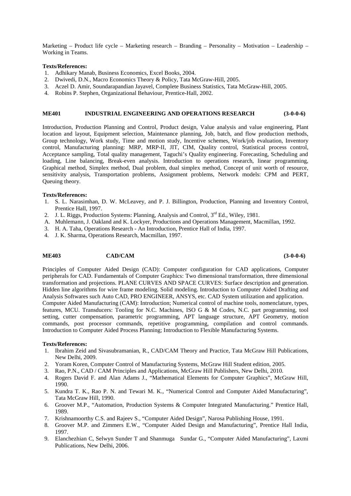Marketing – Product life cycle – Marketing research – Branding – Personality – Motivation – Leadership – Working in Teams.

#### **Texts/References:**

- 1. Adhikary Manab, Business Economics, Excel Books, 2004.
- 2. Dwivedi, D.N., Macro Economics Theory & Policy, Tata McGraw-Hill, 2005.
- 3. Aczel D. Amir, Soundarapandian Jayavel, Complete Business Statistics, Tata McGraw-Hill, 2005.
- 4. Robins P. Stephen, Organizational Behaviour, Prentice-Hall, 2002.

#### **ME401 INDUSTRIAL ENGINEERING AND OPERATIONS RESEARCH (3-0-0-6)**

Introduction, Production Planning and Control, Product design, Value analysis and value engineering, Plant location and layout, Equipment selection, Maintenance planning, Job, batch, and flow production methods, Group technology, Work study, Time and motion study, Incentive schemes, Work/job evaluation, Inventory control, Manufacturing planning: MRP, MRP-II, JIT, CIM, Quality control, Statistical process control, Acceptance sampling, Total quality management, Taguchi's Quality engineering. Forecasting, Scheduling and loading, Line balancing, Break-even analysis. Introduction to operations research, linear programming, Graphical method, Simplex method, Dual problem, dual simplex method, Concept of unit worth of resource, sensitivity analysis, Transportation problems, Assignment problems, Network models: CPM and PERT, Queuing theory.

#### **Texts/References:**

- 1. S. L. Narasimhan, D. W. McLeavey, and P. J. Billington, Production, Planning and Inventory Control, Prentice Hall, 1997.
- 2. J. L. Riggs, Production Systems: Planning, Analysis and Control, 3<sup>rd</sup> Ed., Wiley, 1981.
- A. Muhlemann, J. Oakland and K. Lockyer, Productions and Operations Management, Macmillan, 1992.
- 3. H. A. Taha, Operations Research An Introduction, Prentice Hall of India, 1997.
- 4. J. K. Sharma, Operations Research, Macmillan, 1997.

#### **ME403 CAD/CAM (3-0-0-6)**

Principles of Computer Aided Design (CAD): Computer configuration for CAD applications, Computer peripherals for CAD. Fundamentals of Computer Graphics: Two dimensional transformation, three dimensional transformation and projections. PLANE CURVES AND SPACE CURVES: Surface description and generation. Hidden line algorithms for wire frame modeling. Solid modeling. Introduction to Computer Aided Drafting and Analysis Softwares such Auto CAD, PRO ENGINEER, ANSYS, etc. CAD System utilization and application. Computer Aided Manufacturing (CAM): Introduction; Numerical control of machine tools, nomenclature, types, features, MCU. Transducers: Tooling for N.C. Machines, ISO G & M Codes, N.C. part programming, tool setting, cutter compensation, parametric programming, APT language structure, APT Geometry, motion commands, post processor commands, repetitive programming, compilation and control commands. Introduction to Computer Aided Process Planning; Introduction to Flexible Manufacturing Systems.

- 1. Ibrahim Zeid and Sivasubramanian, R., CAD/CAM Theory and Practice, Tata McGraw Hill Publications, New Delhi, 2009.
- 2. Yoram Koren, Computer Control of Manufacturing Systems, McGraw Hill Student edition, 2005.
- 3. Rao, P.N., CAD / CAM Principles and Applications, McGraw Hill Publishers, New Delhi, 2010.
- 4. Rogers David F. and Alan Adams J., "Mathematical Elements for Computer Graphics", McGraw Hill, 1990.
- 5. Kundra T. K., Rao P. N. and Tewari M. K., "Numerical Control and Computer Aided Manufacturing", Tata McGraw Hill, 1990.
- 6. Groover M.P., "Automation, Production Systems & Computer Integrated Manufacturing." Prentice Hall, 1989.
- 7. Krishnamoorthy C.S. and Rajeev S., "Computer Aided Design", Narosa Publishing House, 1991.
- 8. Groover M.P. and Zimmers E.W., "Computer Aided Design and Manufacturing", Prentice Hall India, 1997.
- 9. Elanchezhian C, Selwyn Sunder T and Shanmuga Sundar G., "Computer Aided Manufacturing", Laxmi Publications, New Delhi, 2006.